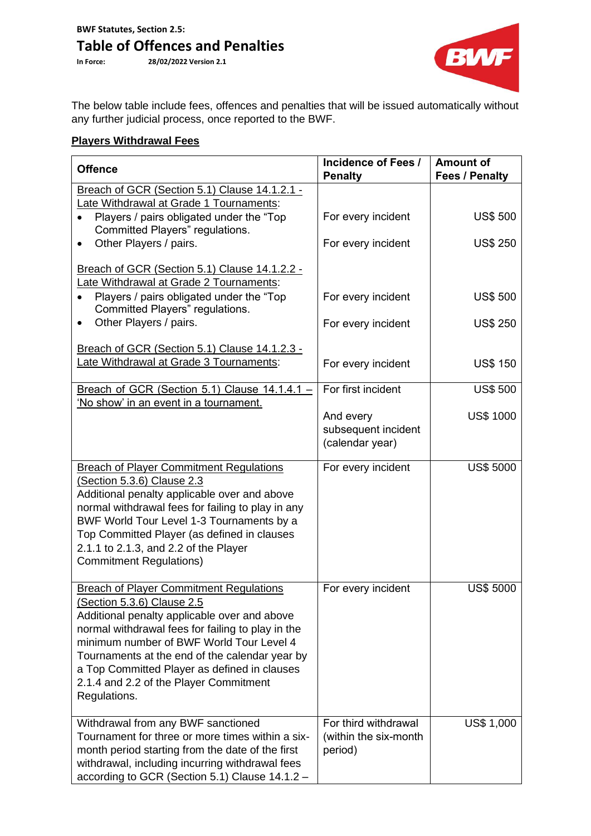## **Table of Offences and Penalties**<br>In Force: 28/02/2022 Version 2.1

**In Force: 28/02/2022 Version 2.1**



The below table include fees, offences and penalties that will be issued automatically without any further judicial process, once reported to the BWF.

## **Players Withdrawal Fees**

| <b>Offence</b>                                                                                                                                                                                                                                                                                                                                                                                   | Incidence of Fees /<br><b>Penalty</b>                    | <b>Amount of</b><br><b>Fees / Penalty</b> |
|--------------------------------------------------------------------------------------------------------------------------------------------------------------------------------------------------------------------------------------------------------------------------------------------------------------------------------------------------------------------------------------------------|----------------------------------------------------------|-------------------------------------------|
| Breach of GCR (Section 5.1) Clause 14.1.2.1 -                                                                                                                                                                                                                                                                                                                                                    |                                                          |                                           |
| Late Withdrawal at Grade 1 Tournaments:                                                                                                                                                                                                                                                                                                                                                          |                                                          |                                           |
| Players / pairs obligated under the "Top"<br>Committed Players" regulations.                                                                                                                                                                                                                                                                                                                     | For every incident                                       | <b>US\$ 500</b>                           |
| Other Players / pairs.<br>٠                                                                                                                                                                                                                                                                                                                                                                      | For every incident                                       | <b>US\$ 250</b>                           |
| Breach of GCR (Section 5.1) Clause 14.1.2.2 -<br>Late Withdrawal at Grade 2 Tournaments:                                                                                                                                                                                                                                                                                                         |                                                          |                                           |
| Players / pairs obligated under the "Top"<br>Committed Players" regulations.                                                                                                                                                                                                                                                                                                                     | For every incident                                       | <b>US\$ 500</b>                           |
| Other Players / pairs.<br>$\bullet$                                                                                                                                                                                                                                                                                                                                                              | For every incident                                       | <b>US\$ 250</b>                           |
| Breach of GCR (Section 5.1) Clause 14.1.2.3 -                                                                                                                                                                                                                                                                                                                                                    |                                                          |                                           |
| Late Withdrawal at Grade 3 Tournaments:                                                                                                                                                                                                                                                                                                                                                          | For every incident                                       | <b>US\$ 150</b>                           |
| Breach of GCR (Section 5.1) Clause $14.1.4.1 -$<br>'No show' in an event in a tournament.                                                                                                                                                                                                                                                                                                        | For first incident                                       | <b>US\$ 500</b>                           |
|                                                                                                                                                                                                                                                                                                                                                                                                  | And every<br>subsequent incident<br>(calendar year)      | <b>US\$ 1000</b>                          |
| <b>Breach of Player Commitment Regulations</b><br>(Section 5.3.6) Clause 2.3<br>Additional penalty applicable over and above<br>normal withdrawal fees for failing to play in any<br>BWF World Tour Level 1-3 Tournaments by a<br>Top Committed Player (as defined in clauses<br>2.1.1 to 2.1.3, and 2.2 of the Player<br><b>Commitment Regulations)</b>                                         | For every incident                                       | <b>US\$ 5000</b>                          |
| <b>Breach of Player Commitment Regulations</b><br><u>(Section 5.3.6) Clause 2.5</u><br>Additional penalty applicable over and above<br>normal withdrawal fees for failing to play in the<br>minimum number of BWF World Tour Level 4<br>Tournaments at the end of the calendar year by<br>a Top Committed Player as defined in clauses<br>2.1.4 and 2.2 of the Player Commitment<br>Regulations. | For every incident                                       | <b>US\$ 5000</b>                          |
| Withdrawal from any BWF sanctioned<br>Tournament for three or more times within a six-<br>month period starting from the date of the first<br>withdrawal, including incurring withdrawal fees<br>according to GCR (Section 5.1) Clause 14.1.2 -                                                                                                                                                  | For third withdrawal<br>(within the six-month<br>period) | US\$ 1,000                                |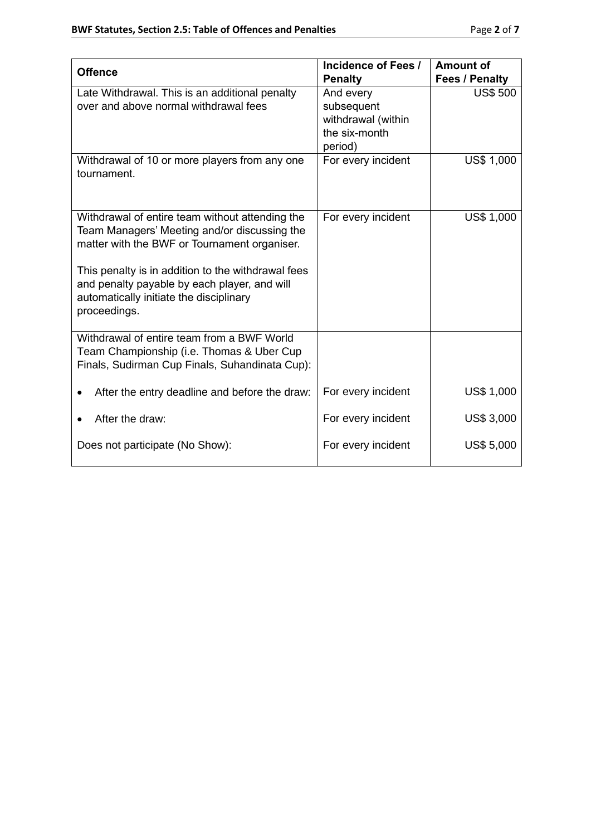|                                                                                                                                                                                                                                                                                                                  | Incidence of Fees /                                                       | <b>Amount of</b>  |
|------------------------------------------------------------------------------------------------------------------------------------------------------------------------------------------------------------------------------------------------------------------------------------------------------------------|---------------------------------------------------------------------------|-------------------|
| <b>Offence</b>                                                                                                                                                                                                                                                                                                   | <b>Penalty</b>                                                            | Fees / Penalty    |
| Late Withdrawal. This is an additional penalty<br>over and above normal withdrawal fees                                                                                                                                                                                                                          | And every<br>subsequent<br>withdrawal (within<br>the six-month<br>period) | <b>US\$ 500</b>   |
| Withdrawal of 10 or more players from any one<br>tournament.                                                                                                                                                                                                                                                     | For every incident                                                        | <b>US\$ 1,000</b> |
| Withdrawal of entire team without attending the<br>Team Managers' Meeting and/or discussing the<br>matter with the BWF or Tournament organiser.<br>This penalty is in addition to the withdrawal fees<br>and penalty payable by each player, and will<br>automatically initiate the disciplinary<br>proceedings. | For every incident                                                        | <b>US\$ 1,000</b> |
| Withdrawal of entire team from a BWF World<br>Team Championship (i.e. Thomas & Uber Cup<br>Finals, Sudirman Cup Finals, Suhandinata Cup):                                                                                                                                                                        |                                                                           |                   |
| After the entry deadline and before the draw:                                                                                                                                                                                                                                                                    | For every incident                                                        | US\$ 1,000        |
| After the draw:                                                                                                                                                                                                                                                                                                  | For every incident                                                        | <b>US\$ 3,000</b> |
| Does not participate (No Show):                                                                                                                                                                                                                                                                                  | For every incident                                                        | <b>US\$ 5,000</b> |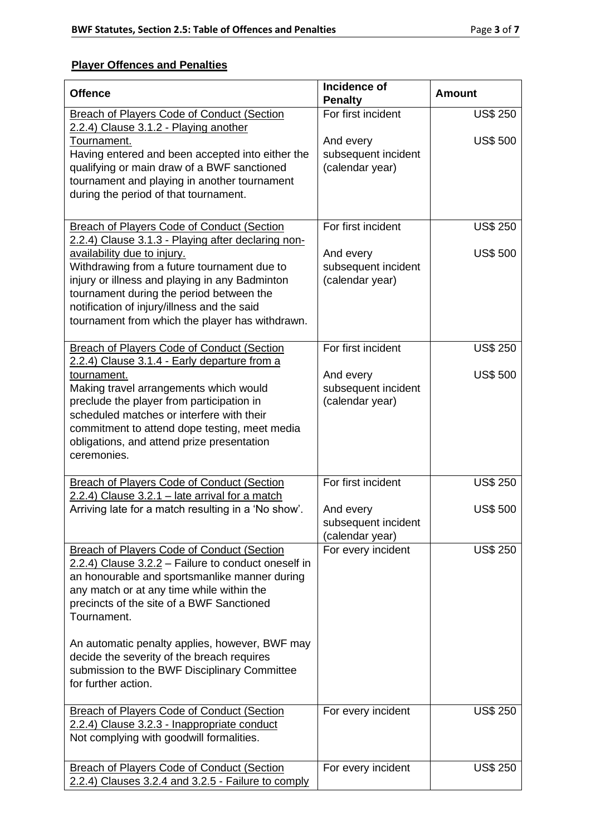## **Player Offences and Penalties**

| <b>Offence</b>                                                                                                                                                                                                                                                             | Incidence of<br><b>Penalty</b>                      | <b>Amount</b>   |
|----------------------------------------------------------------------------------------------------------------------------------------------------------------------------------------------------------------------------------------------------------------------------|-----------------------------------------------------|-----------------|
| <b>Breach of Players Code of Conduct (Section</b>                                                                                                                                                                                                                          | For first incident                                  | <b>US\$ 250</b> |
| 2.2.4) Clause 3.1.2 - Playing another<br>Tournament.<br>Having entered and been accepted into either the<br>qualifying or main draw of a BWF sanctioned<br>tournament and playing in another tournament<br>during the period of that tournament.                           | And every<br>subsequent incident<br>(calendar year) | <b>US\$ 500</b> |
| <b>Breach of Players Code of Conduct (Section</b><br>2.2.4) Clause 3.1.3 - Playing after declaring non-                                                                                                                                                                    | For first incident                                  | <b>US\$ 250</b> |
| availability due to injury.<br>Withdrawing from a future tournament due to<br>injury or illness and playing in any Badminton<br>tournament during the period between the<br>notification of injury/illness and the said<br>tournament from which the player has withdrawn. | And every<br>subsequent incident<br>(calendar year) | <b>US\$ 500</b> |
| <b>Breach of Players Code of Conduct (Section</b><br>2.2.4) Clause 3.1.4 - Early departure from a                                                                                                                                                                          | For first incident                                  | <b>US\$ 250</b> |
| tournament.<br>Making travel arrangements which would<br>preclude the player from participation in<br>scheduled matches or interfere with their<br>commitment to attend dope testing, meet media<br>obligations, and attend prize presentation<br>ceremonies.              | And every<br>subsequent incident<br>(calendar year) | <b>US\$ 500</b> |
| <b>Breach of Players Code of Conduct (Section</b><br>2.2.4) Clause 3.2.1 - late arrival for a match                                                                                                                                                                        | For first incident                                  | <b>US\$ 250</b> |
| Arriving late for a match resulting in a 'No show'.                                                                                                                                                                                                                        | And every<br>subsequent incident<br>(calendar year) | <b>US\$ 500</b> |
| <b>Breach of Players Code of Conduct (Section</b><br>2.2.4) Clause 3.2.2 - Failure to conduct oneself in<br>an honourable and sportsmanlike manner during<br>any match or at any time while within the<br>precincts of the site of a BWF Sanctioned<br>Tournament.         | For every incident                                  | <b>US\$ 250</b> |
| An automatic penalty applies, however, BWF may<br>decide the severity of the breach requires<br>submission to the BWF Disciplinary Committee<br>for further action.                                                                                                        |                                                     |                 |
| <b>Breach of Players Code of Conduct (Section</b><br>2.2.4) Clause 3.2.3 - Inappropriate conduct<br>Not complying with goodwill formalities.                                                                                                                               | For every incident                                  | <b>US\$ 250</b> |
| <b>Breach of Players Code of Conduct (Section</b><br>2.2.4) Clauses 3.2.4 and 3.2.5 - Failure to comply                                                                                                                                                                    | For every incident                                  | <b>US\$ 250</b> |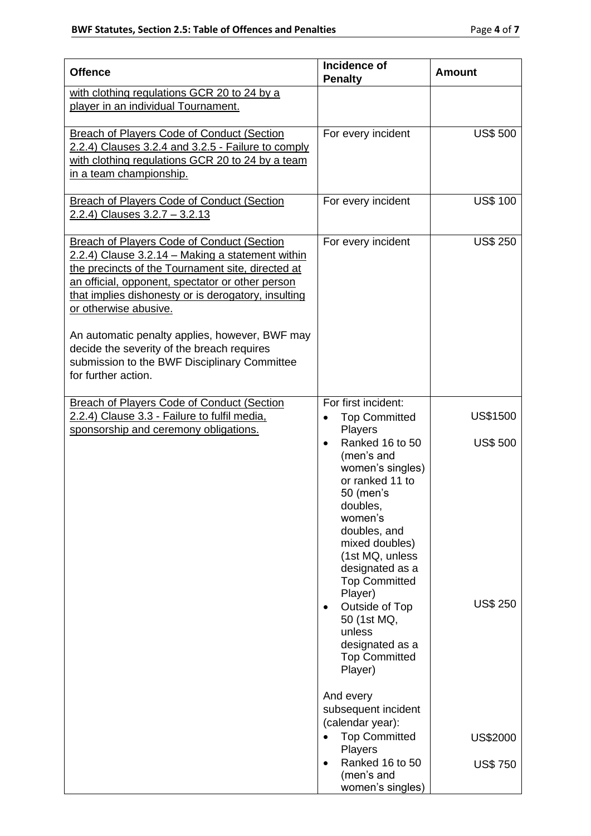| <b>Offence</b>                                                                                                                                                                                                                                                                                                                                                                                                                                                        | <b>Incidence of</b><br><b>Penalty</b>                                                                                                                                                                                                                                                                       | <b>Amount</b>                      |
|-----------------------------------------------------------------------------------------------------------------------------------------------------------------------------------------------------------------------------------------------------------------------------------------------------------------------------------------------------------------------------------------------------------------------------------------------------------------------|-------------------------------------------------------------------------------------------------------------------------------------------------------------------------------------------------------------------------------------------------------------------------------------------------------------|------------------------------------|
| with clothing regulations GCR 20 to 24 by a<br>player in an individual Tournament.                                                                                                                                                                                                                                                                                                                                                                                    |                                                                                                                                                                                                                                                                                                             |                                    |
| <b>Breach of Players Code of Conduct (Section</b><br>2.2.4) Clauses 3.2.4 and 3.2.5 - Failure to comply<br>with clothing regulations GCR 20 to 24 by a team<br>in a team championship.                                                                                                                                                                                                                                                                                | For every incident                                                                                                                                                                                                                                                                                          | <b>US\$ 500</b>                    |
| Breach of Players Code of Conduct (Section<br>2.2.4) Clauses 3.2.7 - 3.2.13                                                                                                                                                                                                                                                                                                                                                                                           | For every incident                                                                                                                                                                                                                                                                                          | <b>US\$ 100</b>                    |
| <b>Breach of Players Code of Conduct (Section</b><br>2.2.4) Clause 3.2.14 - Making a statement within<br>the precincts of the Tournament site, directed at<br>an official, opponent, spectator or other person<br>that implies dishonesty or is derogatory, insulting<br>or otherwise abusive.<br>An automatic penalty applies, however, BWF may<br>decide the severity of the breach requires<br>submission to the BWF Disciplinary Committee<br>for further action. | For every incident                                                                                                                                                                                                                                                                                          | <b>US\$ 250</b>                    |
| <b>Breach of Players Code of Conduct (Section</b><br>2.2.4) Clause 3.3 - Failure to fulfil media.                                                                                                                                                                                                                                                                                                                                                                     | For first incident:<br><b>Top Committed</b><br>$\bullet$<br>Players                                                                                                                                                                                                                                         | <b>US\$1500</b>                    |
| sponsorship and ceremony obligations.                                                                                                                                                                                                                                                                                                                                                                                                                                 | Ranked 16 to 50<br>$\bullet$<br>(men's and<br>women's singles)<br>or ranked 11 to<br>50 (men's<br>doubles,<br>women's<br>doubles, and<br>mixed doubles)<br>(1st MQ, unless<br>designated as a<br><b>Top Committed</b><br>Player)<br>Outside of Top<br>$\bullet$<br>50 (1st MQ,<br>unless<br>designated as a | <b>US\$ 500</b><br><b>US\$ 250</b> |
|                                                                                                                                                                                                                                                                                                                                                                                                                                                                       | <b>Top Committed</b><br>Player)<br>And every<br>subsequent incident<br>(calendar year):<br><b>Top Committed</b><br>$\bullet$                                                                                                                                                                                | US\$2000                           |
|                                                                                                                                                                                                                                                                                                                                                                                                                                                                       | Players<br>Ranked 16 to 50<br>$\bullet$<br>(men's and<br>women's singles)                                                                                                                                                                                                                                   | <b>US\$750</b>                     |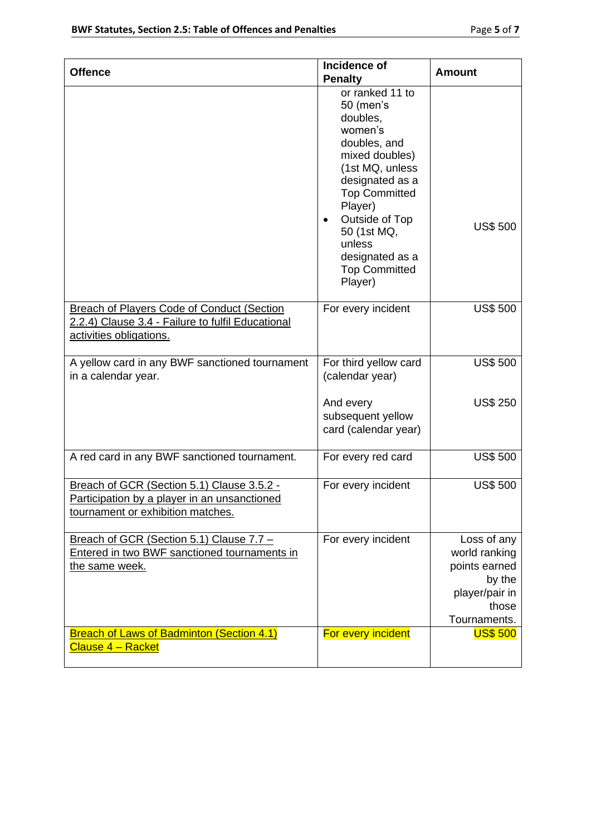| <b>Offence</b>                                                                                                                    | Incidence of<br><b>Penalty</b>                                                                                                                                                                                                                                               | <b>Amount</b>                                                                                      |
|-----------------------------------------------------------------------------------------------------------------------------------|------------------------------------------------------------------------------------------------------------------------------------------------------------------------------------------------------------------------------------------------------------------------------|----------------------------------------------------------------------------------------------------|
|                                                                                                                                   | or ranked 11 to<br>50 (men's<br>doubles,<br>women's<br>doubles, and<br>mixed doubles)<br>(1st MQ, unless<br>designated as a<br><b>Top Committed</b><br>Player)<br>Outside of Top<br>$\bullet$<br>50 (1st MQ,<br>unless<br>designated as a<br><b>Top Committed</b><br>Player) | <b>US\$ 500</b>                                                                                    |
| <b>Breach of Players Code of Conduct (Section</b><br>2.2.4) Clause 3.4 - Failure to fulfil Educational<br>activities obligations. | For every incident                                                                                                                                                                                                                                                           | <b>US\$ 500</b>                                                                                    |
| A yellow card in any BWF sanctioned tournament<br>in a calendar year.                                                             | For third yellow card<br>(calendar year)                                                                                                                                                                                                                                     | <b>US\$ 500</b>                                                                                    |
|                                                                                                                                   | And every<br>subsequent yellow<br>card (calendar year)                                                                                                                                                                                                                       | <b>US\$ 250</b>                                                                                    |
| A red card in any BWF sanctioned tournament.                                                                                      | For every red card                                                                                                                                                                                                                                                           | <b>US\$ 500</b>                                                                                    |
| Breach of GCR (Section 5.1) Clause 3.5.2 -<br>Participation by a player in an unsanctioned<br>tournament or exhibition matches.   | For every incident                                                                                                                                                                                                                                                           | <b>US\$ 500</b>                                                                                    |
| Breach of GCR (Section 5.1) Clause 7.7 -<br>Entered in two BWF sanctioned tournaments in<br>the same week.                        | For every incident                                                                                                                                                                                                                                                           | Loss of any<br>world ranking<br>points earned<br>by the<br>player/pair in<br>those<br>Tournaments. |
| <b>Breach of Laws of Badminton (Section 4.1)</b><br><u> Clause 4 – Racket</u>                                                     | For every incident                                                                                                                                                                                                                                                           | <b>US\$ 500</b>                                                                                    |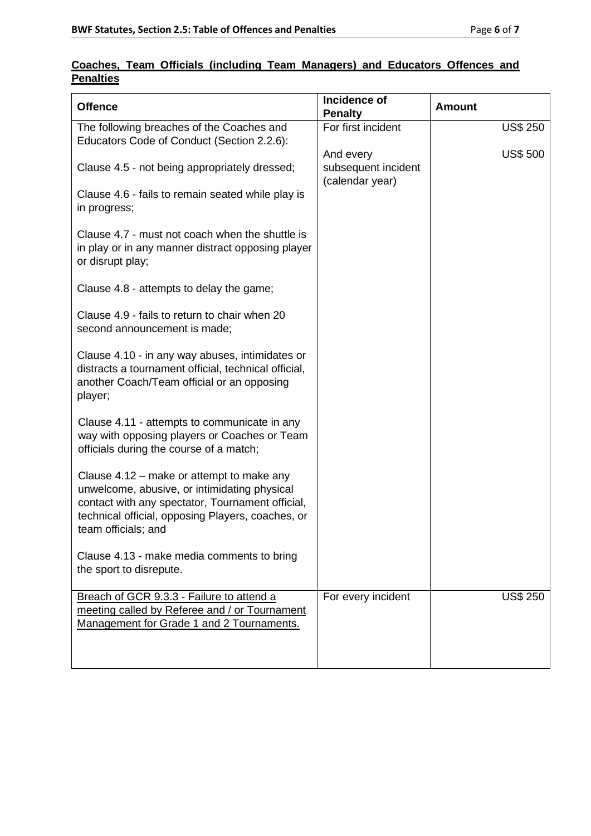|                  |  |  | Coaches, Team Officials (including Team Managers) and Educators Offences and |  |  |
|------------------|--|--|------------------------------------------------------------------------------|--|--|
| <b>Penalties</b> |  |  |                                                                              |  |  |

| <b>Offence</b>                                                                                                                                                                                                            | Incidence of<br><b>Penalty</b>                      | <b>Amount</b>   |
|---------------------------------------------------------------------------------------------------------------------------------------------------------------------------------------------------------------------------|-----------------------------------------------------|-----------------|
| The following breaches of the Coaches and<br>Educators Code of Conduct (Section 2.2.6):                                                                                                                                   | For first incident                                  | <b>US\$ 250</b> |
| Clause 4.5 - not being appropriately dressed;                                                                                                                                                                             | And every<br>subsequent incident<br>(calendar year) | <b>US\$ 500</b> |
| Clause 4.6 - fails to remain seated while play is<br>in progress;                                                                                                                                                         |                                                     |                 |
| Clause 4.7 - must not coach when the shuttle is<br>in play or in any manner distract opposing player<br>or disrupt play;                                                                                                  |                                                     |                 |
| Clause 4.8 - attempts to delay the game;                                                                                                                                                                                  |                                                     |                 |
| Clause 4.9 - fails to return to chair when 20<br>second announcement is made;                                                                                                                                             |                                                     |                 |
| Clause 4.10 - in any way abuses, intimidates or<br>distracts a tournament official, technical official,<br>another Coach/Team official or an opposing<br>player;                                                          |                                                     |                 |
| Clause 4.11 - attempts to communicate in any<br>way with opposing players or Coaches or Team<br>officials during the course of a match;                                                                                   |                                                     |                 |
| Clause 4.12 – make or attempt to make any<br>unwelcome, abusive, or intimidating physical<br>contact with any spectator, Tournament official,<br>technical official, opposing Players, coaches, or<br>team officials; and |                                                     |                 |
| Clause 4.13 - make media comments to bring<br>the sport to disrepute.                                                                                                                                                     |                                                     |                 |
| Breach of GCR 9.3.3 - Failure to attend a<br>meeting called by Referee and / or Tournament<br>Management for Grade 1 and 2 Tournaments.                                                                                   | For every incident                                  | <b>US\$ 250</b> |